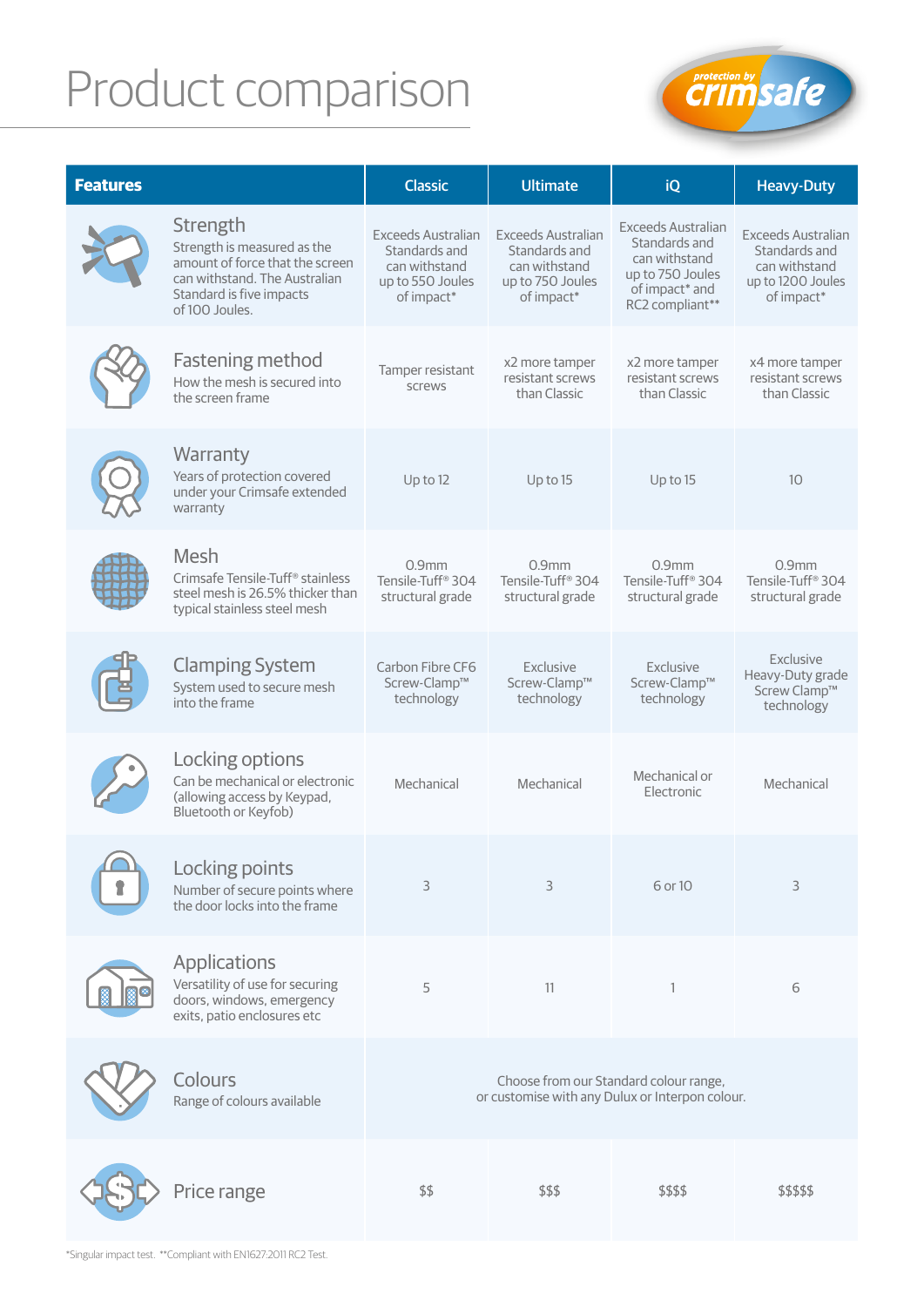## Product comparison



| <b>Features</b> |                                                                                                                                                           | <b>Classic</b>                                                                                | <b>Ultimate</b>                                                                               | iQ                                                                                                            | <b>Heavy-Duty</b>                                                                              |  |
|-----------------|-----------------------------------------------------------------------------------------------------------------------------------------------------------|-----------------------------------------------------------------------------------------------|-----------------------------------------------------------------------------------------------|---------------------------------------------------------------------------------------------------------------|------------------------------------------------------------------------------------------------|--|
|                 | Strength<br>Strength is measured as the<br>amount of force that the screen<br>can withstand. The Australian<br>Standard is five impacts<br>of 100 Joules. | <b>Exceeds Australian</b><br>Standards and<br>can withstand<br>up to 550 Joules<br>of impact* | <b>Exceeds Australian</b><br>Standards and<br>can withstand<br>up to 750 Joules<br>of impact* | Exceeds Australian<br>Standards and<br>can withstand<br>up to 750 Joules<br>of impact* and<br>RC2 compliant** | <b>Exceeds Australian</b><br>Standards and<br>can withstand<br>up to 1200 Joules<br>of impact* |  |
|                 | <b>Fastening method</b><br>How the mesh is secured into<br>the screen frame                                                                               | Tamper resistant<br>screws                                                                    | x2 more tamper<br>resistant screws<br>than Classic                                            | x2 more tamper<br>resistant screws<br>than Classic                                                            | x4 more tamper<br>resistant screws<br>than Classic                                             |  |
|                 | Warranty<br>Years of protection covered<br>under your Crimsafe extended<br>warranty                                                                       | Up to 12                                                                                      | Up to 15                                                                                      | Up to 15                                                                                                      | 10                                                                                             |  |
|                 | Mesh<br>Crimsafe Tensile-Tuff <sup>®</sup> stainless<br>steel mesh is 26.5% thicker than<br>typical stainless steel mesh                                  | $0.9$ mm<br>Tensile-Tuff <sup>®</sup> 304<br>structural grade                                 | $0.9$ mm<br>Tensile-Tuff <sup>®</sup> 304<br>structural grade                                 | 0.9 <sub>mm</sub><br>Tensile-Tuff <sup>®</sup> 304<br>structural grade                                        | 0.9 <sub>mm</sub><br>Tensile-Tuff <sup>®</sup> 304<br>structural grade                         |  |
|                 | <b>Clamping System</b><br>System used to secure mesh<br>into the frame                                                                                    | Carbon Fibre CF6<br>Screw-Clamp™<br>technology                                                | Exclusive<br>Screw-Clamp™<br>technology                                                       | Exclusive<br>Screw-Clamp™<br>technology                                                                       | Exclusive<br>Heavy-Duty grade<br>Screw Clamp™<br>technology                                    |  |
|                 | Locking options<br>Can be mechanical or electronic<br>(allowing access by Keypad,<br>Bluetooth or Keyfob)                                                 | Mechanical                                                                                    | Mechanical                                                                                    | Mechanical or<br>Electronic                                                                                   | Mechanical                                                                                     |  |
|                 | Locking points<br>Number of secure points where<br>the door locks into the frame                                                                          | 3                                                                                             | 3                                                                                             | 6 or 10                                                                                                       | 3                                                                                              |  |
|                 | Applications<br>Versatility of use for securing<br>doors, windows, emergency<br>exits, patio enclosures etc                                               | 5                                                                                             | 11                                                                                            | $\mathbf{1}$                                                                                                  | 6                                                                                              |  |
|                 | Colours<br>Range of colours available                                                                                                                     | Choose from our Standard colour range,<br>or customise with any Dulux or Interpon colour.     |                                                                                               |                                                                                                               |                                                                                                |  |
|                 | Price range                                                                                                                                               | \$\$                                                                                          | \$\$\$                                                                                        | \$\$\$\$                                                                                                      | \$\$\$\$\$                                                                                     |  |